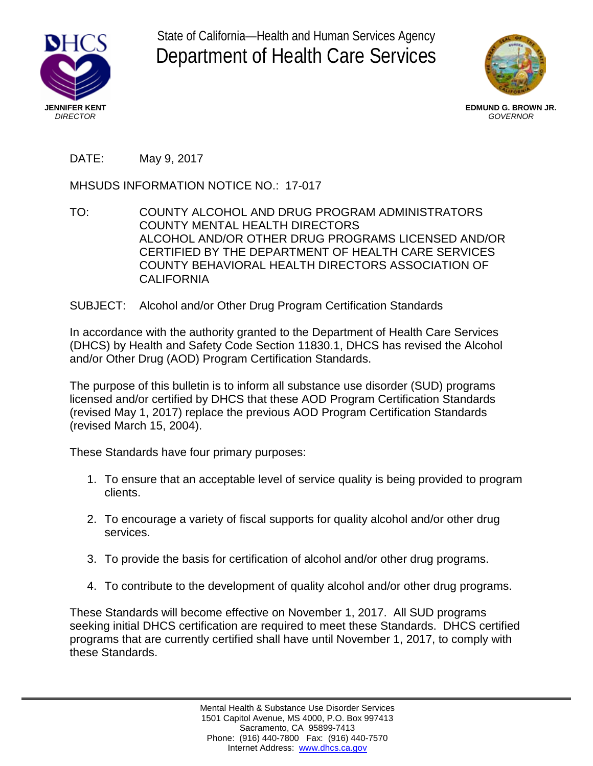

State of California—Health and Human Services Agency Department of Health Care Services



**EDMUND G. BROWN JR.** *GOVERNOR*

## DATE: May 9, 2017

MHSUDS INFORMATION NOTICE NO.: 17-017

- TO: COUNTY ALCOHOL AND DRUG PROGRAM ADMINISTRATORS COUNTY MENTAL HEALTH DIRECTORS ALCOHOL AND/OR OTHER DRUG PROGRAMS LICENSED AND/OR CERTIFIED BY THE DEPARTMENT OF HEALTH CARE SERVICES COUNTY BEHAVIORAL HEALTH DIRECTORS ASSOCIATION OF **CALIFORNIA**
- SUBJECT: Alcohol and/or Other Drug Program Certification Standards

In accordance with the authority granted to the Department of Health Care Services (DHCS) by Health and Safety Code Section 11830.1, DHCS has revised the Alcohol and/or Other Drug (AOD) Program Certification Standards.

The purpose of this bulletin is to inform all substance use disorder (SUD) programs licensed and/or certified by DHCS that these AOD Program Certification Standards (revised May 1, 2017) replace the previous AOD Program Certification Standards (revised March 15, 2004).

These Standards have four primary purposes:

- 1. To ensure that an acceptable level of service quality is being provided to program clients.
- 2. To encourage a variety of fiscal supports for quality alcohol and/or other drug services.
- 3. To provide the basis for certification of alcohol and/or other drug programs.
- 4. To contribute to the development of quality alcohol and/or other drug programs.

These Standards will become effective on November 1, 2017. All SUD programs seeking initial DHCS certification are required to meet these Standards. DHCS certified programs that are currently certified shall have until November 1, 2017, to comply with these Standards.